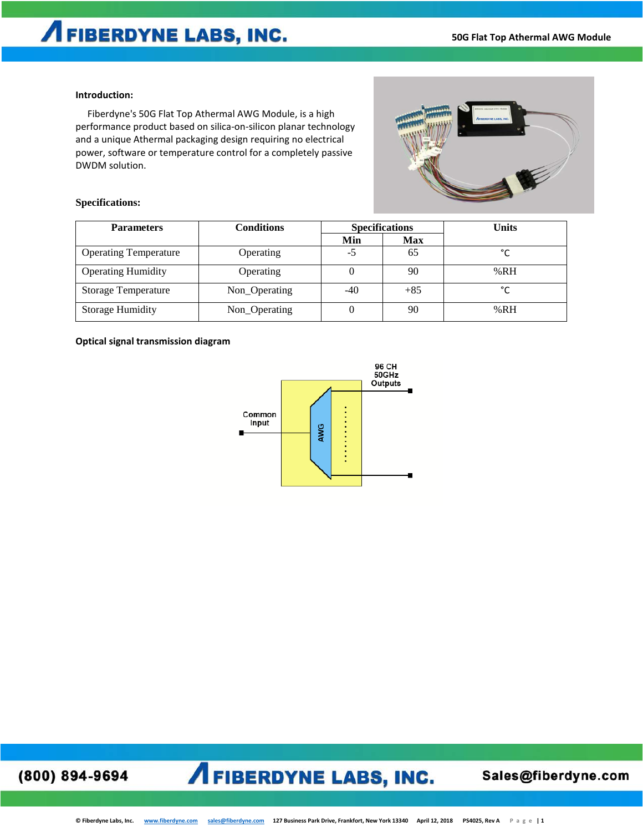#### **Introduction:**

 Fiberdyne's 50G Flat Top Athermal AWG Module, is a high performance product based on silica-on-silicon planar technology and a unique Athermal packaging design requiring no electrical power, software or temperature control for a completely passive DWDM solution.



#### **Specifications:**

| <b>Parameters</b>            | <b>Conditions</b> | <b>Specifications</b> |            | <b>Units</b>  |  |
|------------------------------|-------------------|-----------------------|------------|---------------|--|
|                              |                   | Min                   | <b>Max</b> |               |  |
| <b>Operating Temperature</b> | Operating         | -5                    | 65         | $\mathcal{C}$ |  |
| <b>Operating Humidity</b>    | Operating         |                       | 90         | % $RH$        |  |
| <b>Storage Temperature</b>   | Non_Operating     | $-40$                 | $+85$      | °C            |  |
| <b>Storage Humidity</b>      | Non_Operating     |                       | 90         | % $RH$        |  |

#### **Optical signal transmission diagram**



(800) 894-9694

## **AFIBERDYNE LABS, INC.**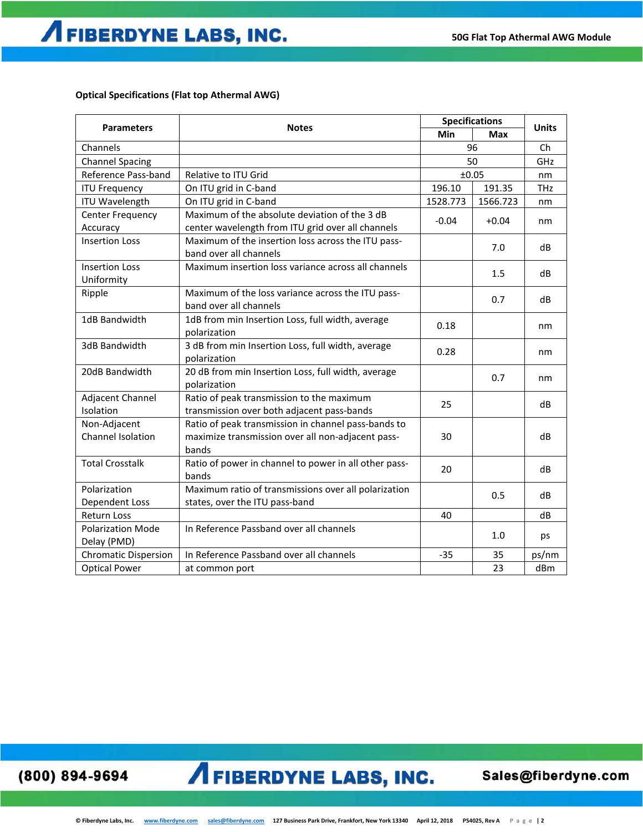#### **Optical Specifications (Flat top Athermal AWG)**

|                                   |                                                       | <b>Specifications</b> |            |              |  |
|-----------------------------------|-------------------------------------------------------|-----------------------|------------|--------------|--|
| <b>Parameters</b><br><b>Notes</b> |                                                       | Min                   | <b>Max</b> | <b>Units</b> |  |
| Channels                          |                                                       |                       | 96         | Ch           |  |
| <b>Channel Spacing</b>            |                                                       |                       | 50         | GHz          |  |
| Reference Pass-band               | Relative to ITU Grid                                  |                       | ±0.05      | nm           |  |
| <b>ITU Frequency</b>              | On ITU grid in C-band                                 | 196.10                | 191.35     | <b>THz</b>   |  |
| <b>ITU Wavelength</b>             | On ITU grid in C-band                                 | 1528.773              | 1566.723   | nm           |  |
| Center Frequency                  | Maximum of the absolute deviation of the 3 dB         | $-0.04$               | $+0.04$    | nm           |  |
| Accuracy                          | center wavelength from ITU grid over all channels     |                       |            |              |  |
| <b>Insertion Loss</b>             | Maximum of the insertion loss across the ITU pass-    |                       | 7.0        | dB           |  |
|                                   | band over all channels                                |                       |            |              |  |
| <b>Insertion Loss</b>             | Maximum insertion loss variance across all channels   |                       | 1.5        | dB           |  |
| Uniformity                        |                                                       |                       |            |              |  |
| Ripple                            | Maximum of the loss variance across the ITU pass-     |                       | 0.7        | dB           |  |
|                                   | band over all channels                                |                       |            |              |  |
| 1dB Bandwidth                     | 1dB from min Insertion Loss, full width, average      | 0.18                  |            | nm           |  |
|                                   | polarization                                          |                       |            |              |  |
| 3dB Bandwidth                     | 3 dB from min Insertion Loss, full width, average     | 0.28                  |            | nm           |  |
|                                   | polarization                                          |                       |            |              |  |
| 20dB Bandwidth                    | 20 dB from min Insertion Loss, full width, average    |                       | 0.7        | nm           |  |
|                                   | polarization                                          |                       |            |              |  |
| Adjacent Channel                  | Ratio of peak transmission to the maximum             | 25                    |            | dB           |  |
| Isolation                         | transmission over both adjacent pass-bands            |                       |            |              |  |
| Non-Adjacent                      | Ratio of peak transmission in channel pass-bands to   |                       |            |              |  |
| Channel Isolation                 | maximize transmission over all non-adjacent pass-     | 30                    |            | dB           |  |
|                                   | bands                                                 |                       |            |              |  |
| <b>Total Crosstalk</b>            | Ratio of power in channel to power in all other pass- | 20                    |            | dB           |  |
|                                   | bands                                                 |                       |            |              |  |
| Polarization                      | Maximum ratio of transmissions over all polarization  |                       | 0.5        | dB           |  |
| Dependent Loss                    | states, over the ITU pass-band                        |                       |            |              |  |
| <b>Return Loss</b>                |                                                       | 40                    |            | dB           |  |
| <b>Polarization Mode</b>          | In Reference Passband over all channels               |                       | 1.0        | ps           |  |
| Delay (PMD)                       |                                                       |                       |            |              |  |
| <b>Chromatic Dispersion</b>       | In Reference Passband over all channels               | $-35$                 | 35         | ps/nm        |  |
| <b>Optical Power</b>              | at common port                                        |                       | 23         | dBm          |  |

(800) 894-9694

# **AFIBERDYNE LABS, INC.**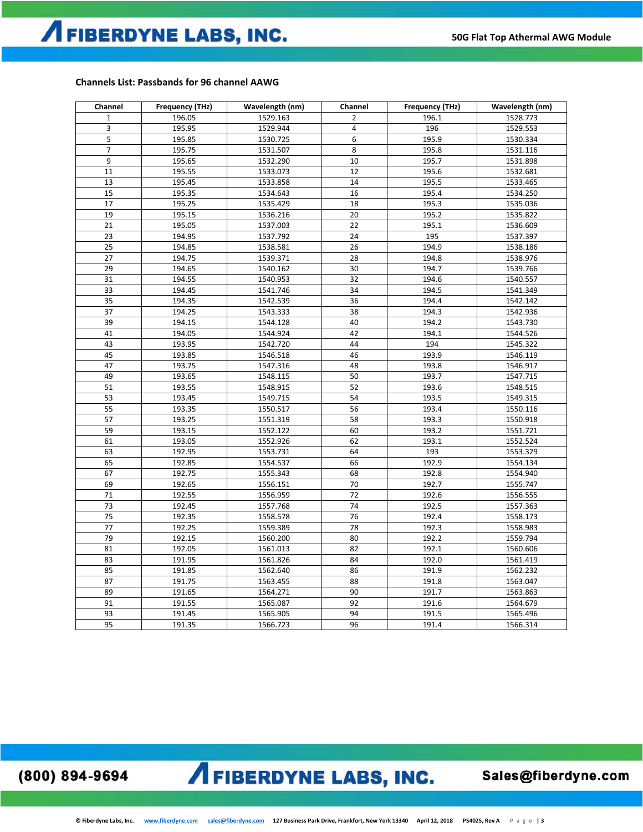#### **Channels List: Passbands for 96 channel AAWG**

| Channel | Frequency (THz) | Wavelength (nm) | Channel | Frequency (THz) | Wavelength (nm) |
|---------|-----------------|-----------------|---------|-----------------|-----------------|
| 1       | 196.05          | 1529.163        | 2       | 196.1           | 1528.773        |
| 3       | 195.95          | 1529.944        | 4       | 196             | 1529.553        |
| 5       | 195.85          | 1530.725        | 6       | 195.9           | 1530.334        |
| 7       | 195.75          | 1531.507        | 8       | 195.8           | 1531.116        |
| 9       | 195.65          | 1532.290        | 10      | 195.7           | 1531.898        |
| 11      | 195.55          | 1533.073        | 12      | 195.6           | 1532.681        |
| 13      | 195.45          | 1533.858        | 14      | 195.5           | 1533.465        |
| 15      | 195.35          | 1534.643        | 16      | 195.4           | 1534.250        |
| 17      | 195.25          | 1535.429        | 18      | 195.3           | 1535.036        |
| 19      | 195.15          | 1536.216        | 20      | 195.2           | 1535.822        |
| 21      | 195.05          | 1537.003        | 22      | 195.1           | 1536.609        |
| 23      | 194.95          | 1537.792        | 24      | 195             | 1537.397        |
| 25      | 194.85          | 1538.581        | 26      | 194.9           | 1538.186        |
| 27      | 194.75          | 1539.371        | 28      | 194.8           | 1538.976        |
| 29      | 194.65          | 1540.162        | 30      | 194.7           | 1539.766        |
| 31      | 194.55          | 1540.953        | 32      | 194.6           | 1540.557        |
| 33      | 194.45          | 1541.746        | 34      | 194.5           | 1541.349        |
| 35      | 194.35          | 1542.539        | 36      | 194.4           | 1542.142        |
| 37      | 194.25          | 1543.333        | 38      | 194.3           | 1542.936        |
| 39      | 194.15          | 1544.128        | 40      | 194.2           | 1543.730        |
| 41      | 194.05          | 1544.924        | 42      | 194.1           | 1544.526        |
| 43      | 193.95          | 1542.720        | 44      | 194             | 1545.322        |
| 45      | 193.85          | 1546.518        | 46      | 193.9           | 1546.119        |
| 47      | 193.75          | 1547.316        | 48      | 193.8           | 1546.917        |
| 49      | 193.65          | 1548.115        | 50      | 193.7           | 1547.715        |
| 51      | 193.55          | 1548.915        | 52      | 193.6           | 1548.515        |
| 53      | 193.45          | 1549.715        | 54      | 193.5           | 1549.315        |
| 55      | 193.35          | 1550.517        | 56      | 193.4           | 1550.116        |
| 57      | 193.25          | 1551.319        | 58      | 193.3           | 1550.918        |
| 59      | 193.15          | 1552.122        | 60      | 193.2           | 1551.721        |
| 61      | 193.05          | 1552.926        | 62      | 193.1           | 1552.524        |
| 63      | 192.95          | 1553.731        | 64      | 193             | 1553.329        |
| 65      | 192.85          | 1554.537        | 66      | 192.9           | 1554.134        |
| 67      | 192.75          | 1555.343        | 68      | 192.8           | 1554.940        |
| 69      | 192.65          | 1556.151        | 70      | 192.7           | 1555.747        |
| 71      | 192.55          | 1556.959        | 72      | 192.6           | 1556.555        |
| 73      | 192.45          | 1557.768        | 74      | 192.5           | 1557.363        |
| 75      | 192.35          | 1558.578        | 76      | 192.4           | 1558.173        |
| 77      | 192.25          | 1559.389        | 78      | 192.3           | 1558.983        |
| 79      | 192.15          | 1560.200        | 80      | 192.2           | 1559.794        |
| 81      | 192.05          | 1561.013        | 82      | 192.1           | 1560.606        |
| 83      | 191.95          | 1561.826        | 84      | 192.0           | 1561.419        |
| 85      | 191.85          | 1562.640        | 86      | 191.9           | 1562.232        |
| 87      | 191.75          | 1563.455        | 88      | 191.8           | 1563.047        |
| 89      | 191.65          | 1564.271        | 90      | 191.7           | 1563.863        |
| 91      | 191.55          | 1565.087        | 92      | 191.6           | 1564.679        |
| 93      | 191.45          | 1565.905        | 94      | 191.5           | 1565.496        |
| 95      | 191.35          | 1566.723        | 96      | 191.4           | 1566.314        |

(800) 894-9694

# **AFIBERDYNE LABS, INC.**